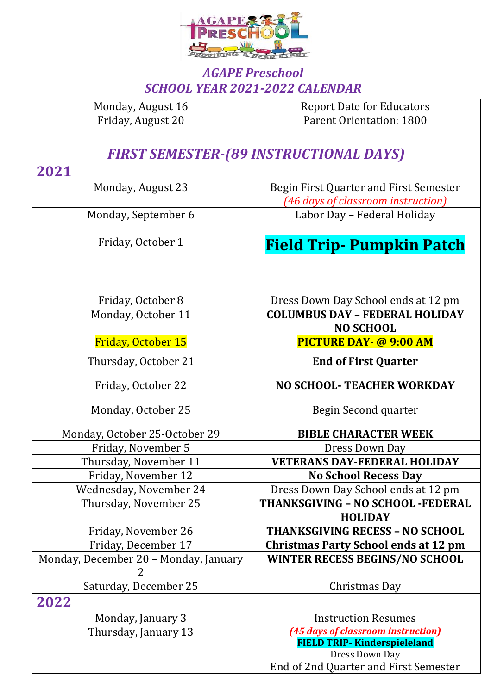

## *AGAPE Preschool SCHOOL YEAR 2021-2022 CALENDAR*

| Monday, August 16                             | <b>Report Date for Educators</b>            |  |
|-----------------------------------------------|---------------------------------------------|--|
| Friday, August 20                             | Parent Orientation: 1800                    |  |
|                                               |                                             |  |
| <b>FIRST SEMESTER-(89 INSTRUCTIONAL DAYS)</b> |                                             |  |
| 2021                                          |                                             |  |
| Monday, August 23                             | Begin First Quarter and First Semester      |  |
|                                               | (46 days of classroom instruction)          |  |
| Monday, September 6                           | Labor Day - Federal Holiday                 |  |
|                                               |                                             |  |
| Friday, October 1                             | <b>Field Trip- Pumpkin Patch</b>            |  |
|                                               |                                             |  |
|                                               |                                             |  |
|                                               |                                             |  |
| Friday, October 8                             | Dress Down Day School ends at 12 pm         |  |
| Monday, October 11                            | <b>COLUMBUS DAY - FEDERAL HOLIDAY</b>       |  |
|                                               | <b>NO SCHOOL</b>                            |  |
| <b>Friday, October 15</b>                     | <b>PICTURE DAY- @ 9:00 AM</b>               |  |
| Thursday, October 21                          | <b>End of First Quarter</b>                 |  |
| Friday, October 22                            | <b>NO SCHOOL- TEACHER WORKDAY</b>           |  |
| Monday, October 25                            | Begin Second quarter                        |  |
| Monday, October 25-October 29                 | <b>BIBLE CHARACTER WEEK</b>                 |  |
| Friday, November 5                            | Dress Down Day                              |  |
| Thursday, November 11                         | <b>VETERANS DAY-FEDERAL HOLIDAY</b>         |  |
| Friday, November 12                           | <b>No School Recess Day</b>                 |  |
| Wednesday, November 24                        | Dress Down Day School ends at 12 pm         |  |
| Thursday, November 25                         | THANKSGIVING - NO SCHOOL -FEDERAL           |  |
|                                               | <b>HOLIDAY</b>                              |  |
| Friday, November 26                           | <b>THANKSGIVING RECESS - NO SCHOOL</b>      |  |
| Friday, December 17                           | <b>Christmas Party School ends at 12 pm</b> |  |
| Monday, December 20 - Monday, January         | <b>WINTER RECESS BEGINS/NO SCHOOL</b>       |  |
| Saturday, December 25                         | Christmas Day                               |  |
| 2022                                          |                                             |  |
| Monday, January 3                             | <b>Instruction Resumes</b>                  |  |
| Thursday, January 13                          | (45 days of classroom instruction)          |  |
|                                               | <b>FIELD TRIP- Kinderspieleland</b>         |  |
|                                               | Dress Down Day                              |  |
|                                               | End of 2nd Quarter and First Semester       |  |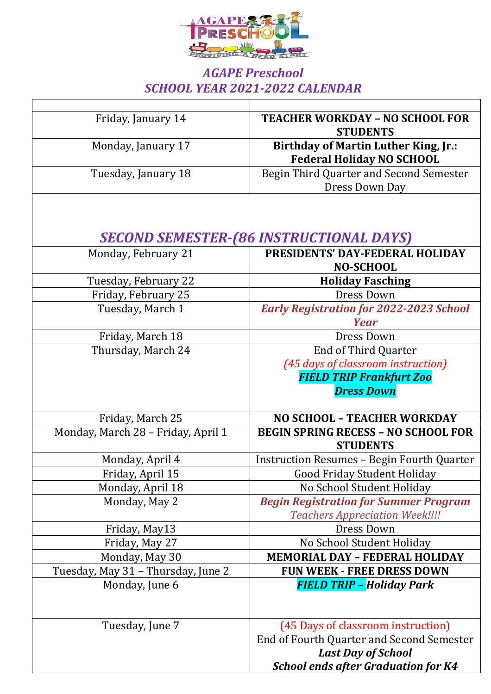

## *AGAPE Preschool SCHOOL YEAR 2021-2022 CALENDAR*

| Friday, January 14                 | <b>TEACHER WORKDAY - NO SCHOOL FOR</b><br><b>STUDENTS</b>                       |
|------------------------------------|---------------------------------------------------------------------------------|
| Monday, January 17                 | <b>Birthday of Martin Luther King, Jr.:</b><br><b>Federal Holiday NO SCHOOL</b> |
| Tuesday, January 18                | Begin Third Quarter and Second Semester<br>Dress Down Day                       |
|                                    |                                                                                 |
|                                    | <b>SECOND SEMESTER-(86 INSTRUCTIONAL DAYS)</b>                                  |
| Monday, February 21                | PRESIDENTS' DAY-FEDERAL HOLIDAY<br><b>NO-SCHOOL</b>                             |
| Tuesday, February 22               | <b>Holiday Fasching</b>                                                         |
| Friday, February 25                | Dress Down                                                                      |
| Tuesday, March 1                   | <b>Early Registration for 2022-2023 School</b><br><b>Year</b>                   |
|                                    | Dress Down                                                                      |
| Friday, March 18                   |                                                                                 |
| Thursday, March 24                 | <b>End of Third Quarter</b>                                                     |
|                                    | (45 days of classroom instruction)<br><b>FIELD TRIP Frankfurt Zoo</b>           |
|                                    | <b>Dress Down</b>                                                               |
| Friday, March 25                   | <b>NO SCHOOL - TEACHER WORKDAY</b>                                              |
| Monday, March 28 - Friday, April 1 | <b>BEGIN SPRING RECESS - NO SCHOOL FOR</b><br><b>STUDENTS</b>                   |
| Monday, April 4                    | <b>Instruction Resumes - Begin Fourth Quarter</b>                               |
| Friday, April 15                   | <b>Good Friday Student Holiday</b>                                              |
| Monday, April 18                   | No School Student Holiday                                                       |
| Monday, May 2                      | <b>Begin Registration for Summer Program</b>                                    |
|                                    | <b>Teachers Appreciation Week!!!!</b>                                           |
| Friday, May13                      | Dress Down                                                                      |
| Friday, May 27                     | No School Student Holiday                                                       |
| Monday, May 30                     | <b>MEMORIAL DAY - FEDERAL HOLIDAY</b>                                           |
| Tuesday, May 31 - Thursday, June 2 | <b>FUN WEEK - FREE DRESS DOWN</b>                                               |
| Monday, June 6                     | <b>FIELD TRIP - Holiday Park</b>                                                |
|                                    |                                                                                 |
| Tuesday, June 7                    | (45 Days of classroom instruction)                                              |
|                                    | End of Fourth Quarter and Second Semester                                       |
|                                    | <b>Last Day of School</b>                                                       |
|                                    | <b>School ends after Graduation for K4</b>                                      |